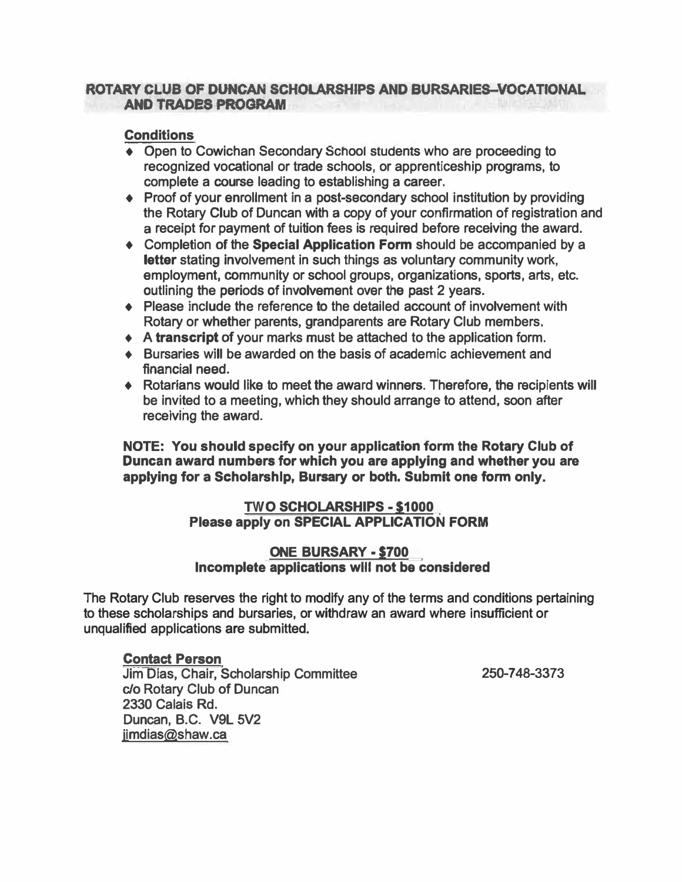#### **ROTARY CLUB OF DUNCAN SCHOLARSHlPS AND BURSARIES-VOCATIONAL AND TRADES PROGRAM**

### **Conditions**

- **♦ Open to Cowichan Secondary School stucients who are proceeding to recognized vocational or trade schools, or apprenticeship programs, to complete a course leading to establishing a career.**
- **♦ Proof of your enrollment in a post-secondary school institution by providing the Rotary Club of Duncan with a copy of your confirmation of registration and a receipt for payment of tuition fees is required before receiving the award.**
- **♦ Completion of the Special Application Form should be accompanied by a letter stating involvement in such things as voluntary community work, employment, community or school groups, organizations, sports, arts, etc. outlining the periods of involvement over the past 2 years.**
- **♦ Please include the reference to the detailed account of involvement with Rotary or whether parents, grandparents are Rotary Club members.**
- **• A transcript of your marks must be attached to the application form.**
- **• Bursaries will be awarded on the basis of academic achievement and financial need.**
- **♦ Rotarians would like to meet the award winners. Therefore, the recipients will be invited to a meeting, which they should arrange to attend, soon after receiving the award.**

**NOTE: You should specify on your application form the Rotary Club of Duncan award numbers for which you are applying and whether you are applying for a Scholarship, Bursary or both. Submit one form only.** 

#### **TWO SCHOLARSHIPS - S1000 Please apply on SPECIAL APPLICATION FORM**

#### **ONE BURSARY • \$700 Incomplete applications wlll not be considered**

**The Rotary Club reserves the right to modify any of the terms and conditions pertaining to these scholarships and bursaries, or withdraw an award where insufficient or unqualified applications are submitted.** 

#### **Contact Person**

**Jim Dias, Chair, Scholarship Committee c/o Rotary Club of Duncan 2330 Calais Rd. Duncan, B.C. V9L 5V2 jimdias@shaw.ca** 

**250-7 48-3373**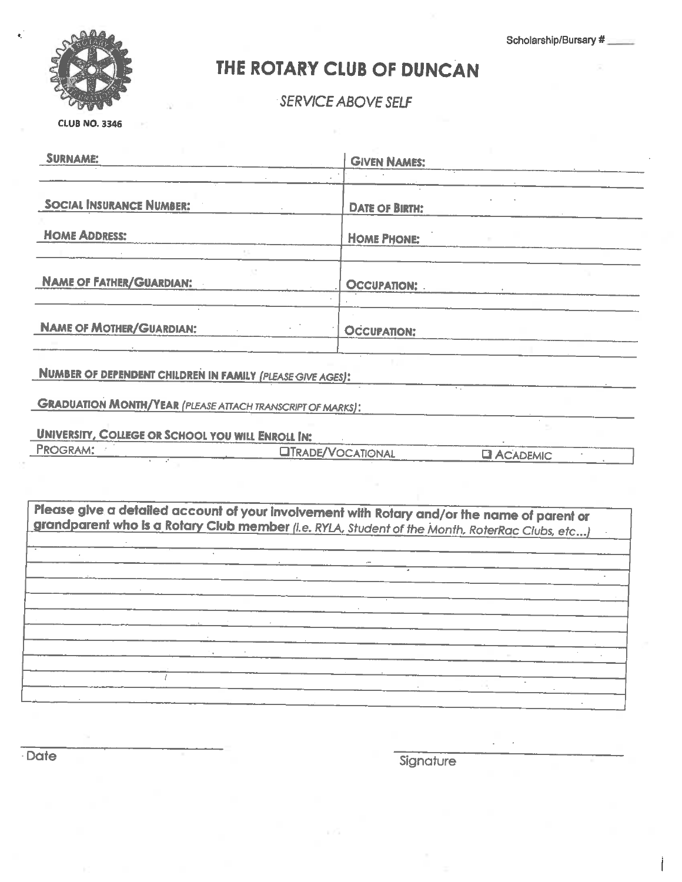Scholarship/Bursary #



## THE ROTARY CLUB OF DUNCAN

SERVICE ABOVE SELF

**CLUB NO. 3346** 

| <b>SURNAME:</b>                                                                                                                                                                               | <b>GIVEN NAMES:</b>      |                    |
|-----------------------------------------------------------------------------------------------------------------------------------------------------------------------------------------------|--------------------------|--------------------|
| <b>SOCIAL INSURANCE NUMBER:</b>                                                                                                                                                               | <b>DATE OF BIRTH:</b>    |                    |
| <b>HOME ADDRESS:</b>                                                                                                                                                                          | <b>HOME PHONE:</b>       |                    |
| <b>NAME OF FATHER/GUARDIAN:</b>                                                                                                                                                               | <b>OCCUPATION: .</b>     |                    |
| <b>NAME OF MOTHER/GUARDIAN:</b>                                                                                                                                                               | <b>OCCUPATION:</b>       |                    |
| NUMBER OF DEPENDENT CHILDREN IN FAMILY (PLEASE GIVE AGES):                                                                                                                                    |                          |                    |
| <b>GRADUATION MONTH/YEAR (PLEASE ATTACH TRANSCRIPT OF MARKS):</b>                                                                                                                             |                          |                    |
| <b>UNIVERSITY, COLLEGE OR SCHOOL YOU WILL ENROLL IN:</b>                                                                                                                                      |                          |                    |
| PROGRAM:                                                                                                                                                                                      | <b>OTRADE/VOCATIONAL</b> | <b>EL ACADEMIC</b> |
| Please give a detailed account of your involvement with Rotary and/or the name of parent or<br>grandparent who is a Rotary Club member (i.e. RYLA, Student of the Month, RoterRac Clubs, etc) |                          |                    |
|                                                                                                                                                                                               |                          |                    |
|                                                                                                                                                                                               |                          |                    |
|                                                                                                                                                                                               |                          |                    |
|                                                                                                                                                                                               |                          |                    |
|                                                                                                                                                                                               |                          |                    |
|                                                                                                                                                                                               |                          |                    |

Date

Signature